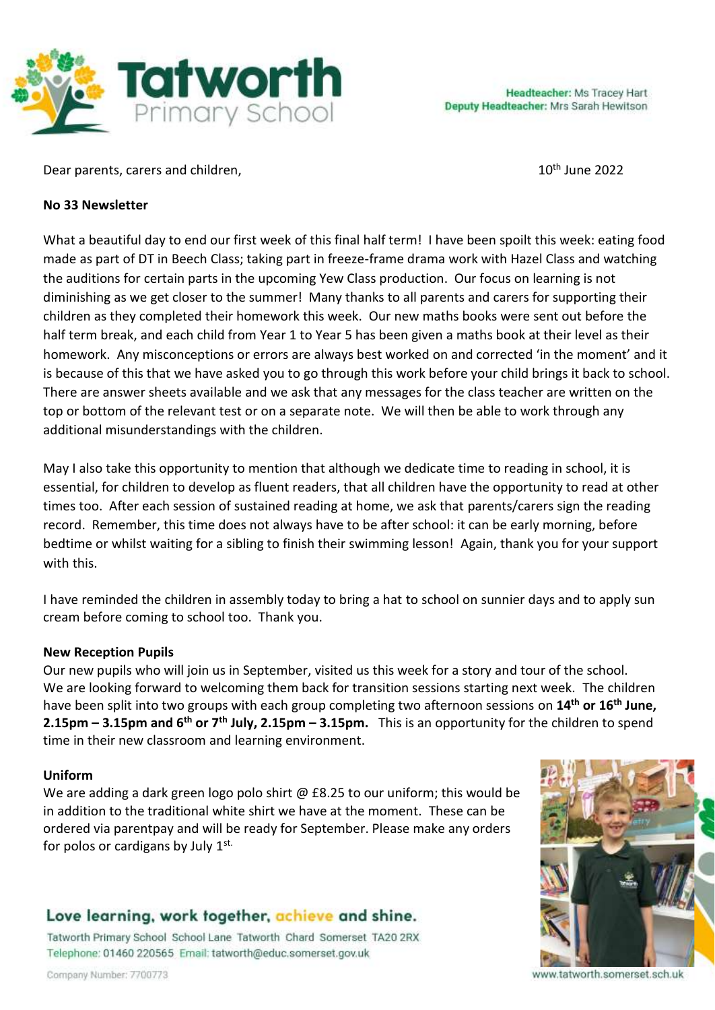

Dear parents, carers and children, 10th June 2022

#### **No 33 Newsletter**

What a beautiful day to end our first week of this final half term! I have been spoilt this week: eating food made as part of DT in Beech Class; taking part in freeze-frame drama work with Hazel Class and watching the auditions for certain parts in the upcoming Yew Class production. Our focus on learning is not diminishing as we get closer to the summer! Many thanks to all parents and carers for supporting their children as they completed their homework this week. Our new maths books were sent out before the half term break, and each child from Year 1 to Year 5 has been given a maths book at their level as their homework. Any misconceptions or errors are always best worked on and corrected 'in the moment' and it is because of this that we have asked you to go through this work before your child brings it back to school. There are answer sheets available and we ask that any messages for the class teacher are written on the top or bottom of the relevant test or on a separate note. We will then be able to work through any additional misunderstandings with the children.

May I also take this opportunity to mention that although we dedicate time to reading in school, it is essential, for children to develop as fluent readers, that all children have the opportunity to read at other times too. After each session of sustained reading at home, we ask that parents/carers sign the reading record. Remember, this time does not always have to be after school: it can be early morning, before bedtime or whilst waiting for a sibling to finish their swimming lesson! Again, thank you for your support with this.

I have reminded the children in assembly today to bring a hat to school on sunnier days and to apply sun cream before coming to school too. Thank you.

# **New Reception Pupils**

Our new pupils who will join us in September, visited us this week for a story and tour of the school. We are looking forward to welcoming them back for transition sessions starting next week. The children have been split into two groups with each group completing two afternoon sessions on **14th or 16th June, 2.15pm – 3.15pm and 6 th or 7th July, 2.15pm – 3.15pm.** This is an opportunity for the children to spend time in their new classroom and learning environment.

#### **Uniform**

We are adding a dark green logo polo shirt  $@$  £8.25 to our uniform; this would be in addition to the traditional white shirt we have at the moment. These can be ordered via parentpay and will be ready for September. Please make any orders for polos or cardigans by July  $1^{st.}$ 

# Love learning, work together, achieve and shine.

Tatworth Primary School School Lane Tatworth Chard Somerset TA20 2RX Telephone: 01460 220565 Email: tatworth@educ.somerset.gov.uk



www.tatworth.somerset.sch.uk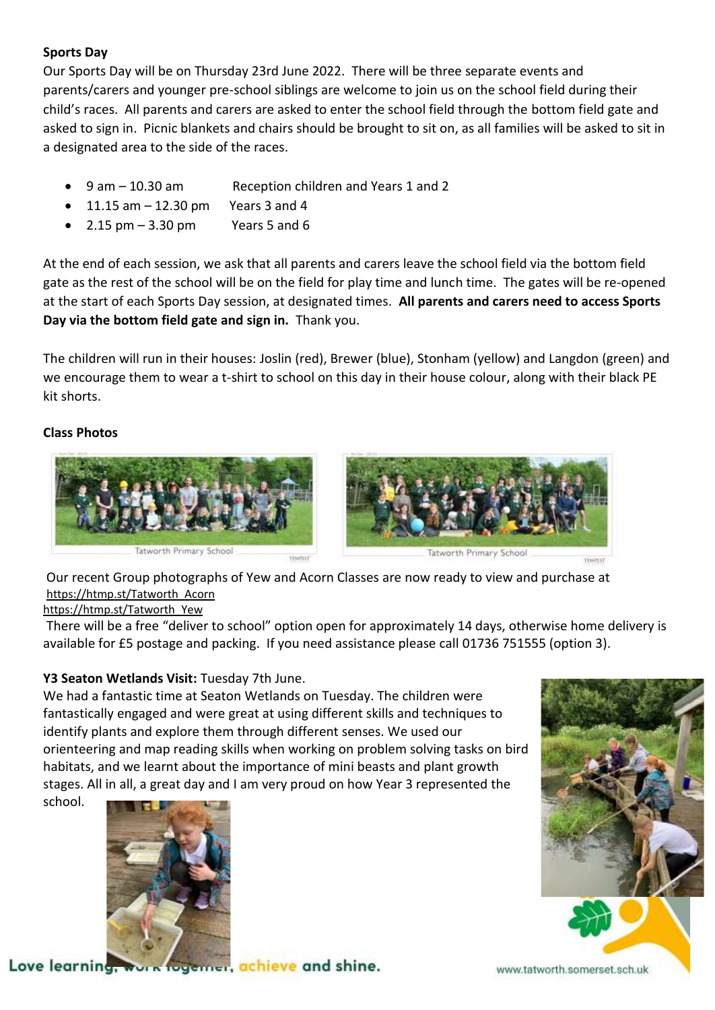# **Sports Day**

Our Sports Day will be on Thursday 23rd June 2022. There will be three separate events and parents/carers and younger pre-school siblings are welcome to join us on the school field during their child's races. All parents and carers are asked to enter the school field through the bottom field gate and asked to sign in. Picnic blankets and chairs should be brought to sit on, as all families will be asked to sit in a designated area to the side of the races.

- 9 am 10.30 am Reception children and Years 1 and 2
- $\bullet$  11.15 am  $-$  12.30 pm Years 3 and 4
- 2.15  $\text{pm} 3.30 \text{pm}$  Years 5 and 6

At the end of each session, we ask that all parents and carers leave the school field via the bottom field gate as the rest of the school will be on the field for play time and lunch time. The gates will be re-opened at the start of each Sports Day session, at designated times. **All parents and carers need to access Sports Day via the bottom field gate and sign in.** Thank you.

The children will run in their houses: Joslin (red), Brewer (blue), Stonham (yellow) and Langdon (green) and we encourage them to wear a t-shirt to school on this day in their house colour, along with their black PE kit shorts.

#### **Class Photos**





Our recent Group photographs of Yew and Acorn Classes are now ready to view and purchase at [https://htmp.st/Tatworth\\_Acorn](https://htmp.st/Tatworth_Acorn) 

[https://htmp.st/Tatworth\\_Yew](https://htmp.st/Tatworth_Yew)

There will be a free "deliver to school" option open for approximately 14 days, otherwise home delivery is available for £5 postage and packing. If you need assistance please call 01736 751555 (option 3).

# **Y3 Seaton Wetlands Visit:** Tuesday 7th June.

We had a fantastic time at Seaton Wetlands on Tuesday. The children were fantastically engaged and were great at using different skills and techniques to identify plants and explore them through different senses. We used our orienteering and map reading skills when working on problem solving tasks on bird habitats, and we learnt about the importance of mini beasts and plant growth stages. All in all, a great day and I am very proud on how Year 3 represented the school.



Love learning, work fogemer, achieve and shine.

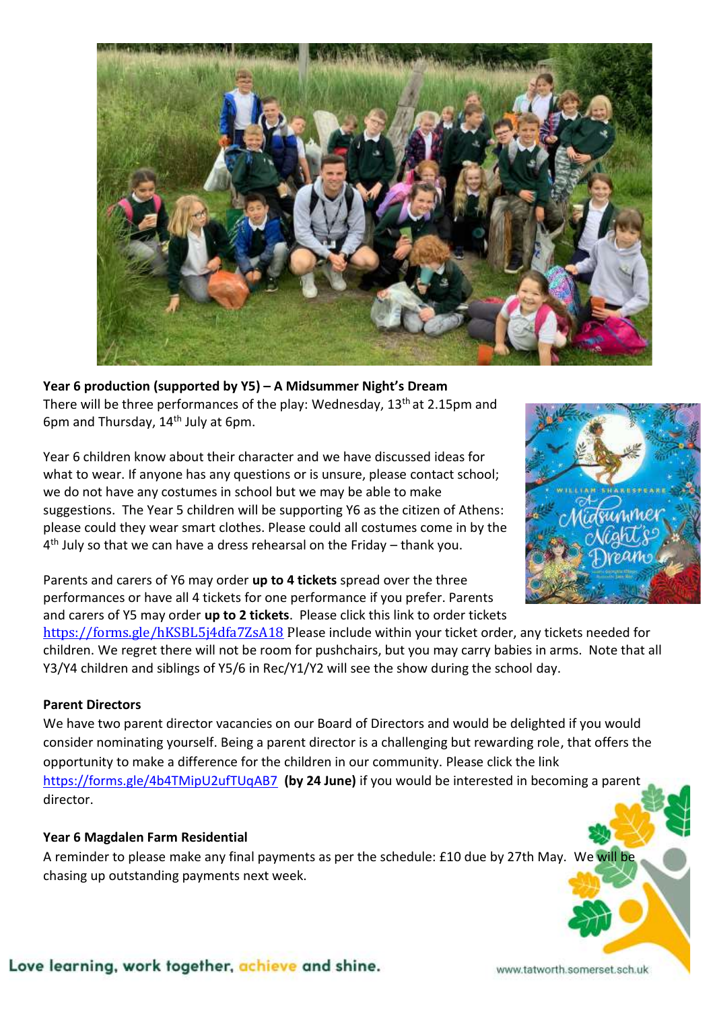

**Year 6 production (supported by Y5) – A Midsummer Night's Dream** There will be three performances of the play: Wednesday, 13<sup>th</sup> at 2.15pm and 6pm and Thursday,  $14<sup>th</sup>$  July at 6pm.

Year 6 children know about their character and we have discussed ideas for what to wear. If anyone has any questions or is unsure, please contact school; we do not have any costumes in school but we may be able to make suggestions. The Year 5 children will be supporting Y6 as the citizen of Athens: please could they wear smart clothes. Please could all costumes come in by the 4<sup>th</sup> July so that we can have a dress rehearsal on the Friday – thank you.



Parents and carers of Y6 may order **up to 4 tickets** spread over the three performances or have all 4 tickets for one performance if you prefer. Parents and carers of Y5 may order **up to 2 tickets**. Please click this link to order tickets

<https://forms.gle/hKSBL5j4dfa7ZsA18> Please include within your ticket order, any tickets needed for children. We regret there will not be room for pushchairs, but you may carry babies in arms. Note that all Y3/Y4 children and siblings of Y5/6 in Rec/Y1/Y2 will see the show during the school day.

# **Parent Directors**

We have two parent director vacancies on our Board of Directors and would be delighted if you would consider nominating yourself. Being a parent director is a challenging but rewarding role, that offers the opportunity to make a difference for the children in our community. Please click the link <https://forms.gle/4b4TMipU2ufTUqAB7>**(by 24 June)** if you would be interested in becoming a parent director.

#### **Year 6 Magdalen Farm Residential**

A reminder to please make any final payments as per the schedule: £10 due by 27th May. We will be chasing up outstanding payments next week.

#### Love learning, work together, achieve and shine.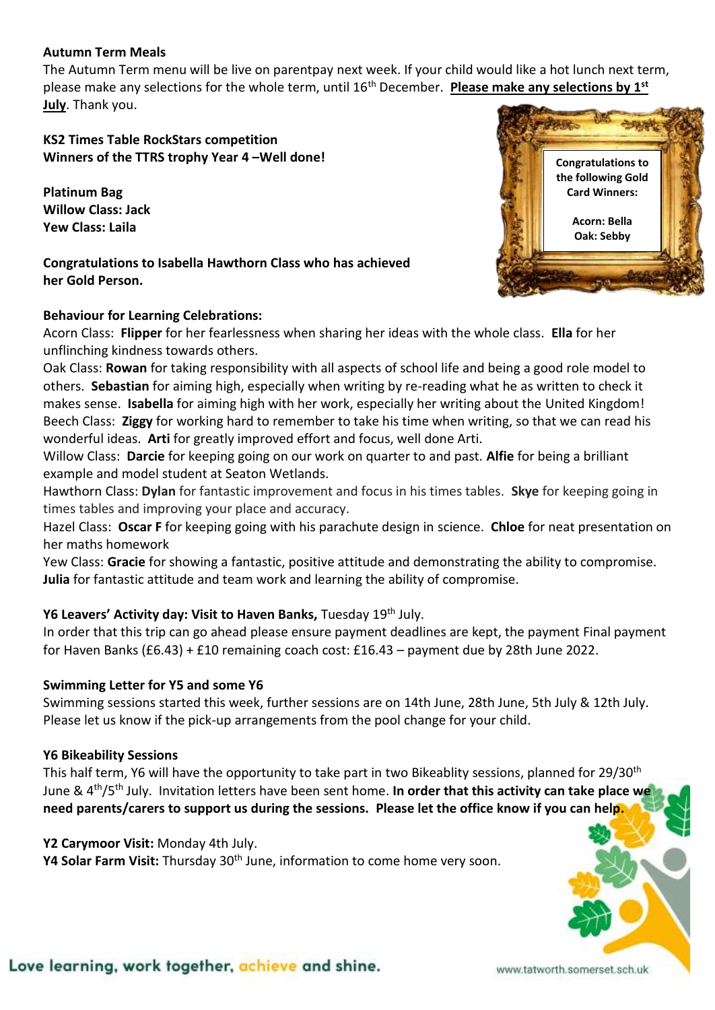#### **Autumn Term Meals**

The Autumn Term menu will be live on parentpay next week. If your child would like a hot lunch next term, please make any selections for the whole term, until 16th December. **Please make any selections by 1st July**. Thank you.

# **KS2 Times Table RockStars competition Winners of the TTRS trophy Year 4 –Well done!**

**Platinum Bag Willow Class: Jack Yew Class: Laila**

**Congratulations to Isabella Hawthorn Class who has achieved her Gold Person.**

# **Behaviour for Learning Celebrations:**



Acorn Class: **Flipper** for her fearlessness when sharing her ideas with the whole class. **Ella** for her unflinching kindness towards others.

Oak Class: **Rowan** for taking responsibility with all aspects of school life and being a good role model to others. **Sebastian** for aiming high, especially when writing by re-reading what he as written to check it makes sense. **Isabella** for aiming high with her work, especially her writing about the United Kingdom! Beech Class: **Ziggy** for working hard to remember to take his time when writing, so that we can read his wonderful ideas. **Arti** for greatly improved effort and focus, well done Arti.

Willow Class: **Darcie** for keeping going on our work on quarter to and past. **Alfie** for being a brilliant example and model student at Seaton Wetlands.

Hawthorn Class: **Dylan** for fantastic improvement and focus in his times tables. **Skye** for keeping going in times tables and improving your place and accuracy.

Hazel Class: **Oscar F** for keeping going with his parachute design in science. **Chloe** for neat presentation on her maths homework

Yew Class: **Gracie** for showing a fantastic, positive attitude and demonstrating the ability to compromise. **Julia** for fantastic attitude and team work and learning the ability of compromise.

# **Y6 Leavers' Activity day: Visit to Haven Banks,** Tuesday 19th July.

In order that this trip can go ahead please ensure payment deadlines are kept, the payment Final payment for Haven Banks (£6.43) + £10 remaining coach cost: £16.43 – payment due by 28th June 2022.

# **Swimming Letter for Y5 and some Y6**

Swimming sessions started this week, further sessions are on 14th June, 28th June, 5th July & 12th July. Please let us know if the pick-up arrangements from the pool change for your child.

# **Y6 Bikeability Sessions**

This half term, Y6 will have the opportunity to take part in two Bikeablity sessions, planned for 29/30<sup>th</sup> June & 4th/5th July. Invitation letters have been sent home. **In order that this activity can take place we need parents/carers to support us during the sessions. Please let the office know if you can help.**

# **Y2 Carymoor Visit:** Monday 4th July.

**Y4 Solar Farm Visit:** Thursday 30th June, information to come home very soon.

# Love learning, work together, achieve and shine.